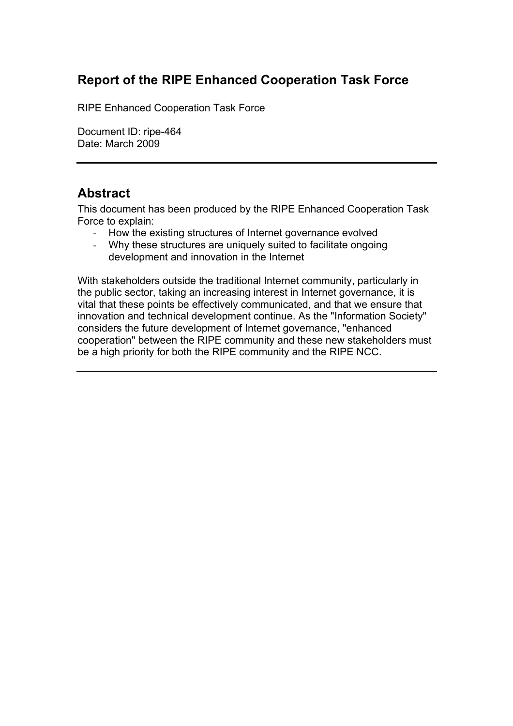# **Report of the RIPE Enhanced Cooperation Task Force**

RIPE Enhanced Cooperation Task Force

Document ID: ripe-464 Date: March 2009

## **Abstract**

This document has been produced by the RIPE Enhanced Cooperation Task Force to explain:

- How the existing structures of Internet governance evolved
- Why these structures are uniquely suited to facilitate ongoing development and innovation in the Internet

With stakeholders outside the traditional Internet community, particularly in the public sector, taking an increasing interest in Internet governance, it is vital that these points be effectively communicated, and that we ensure that innovation and technical development continue. As the "Information Society" considers the future development of Internet governance, "enhanced cooperation" between the RIPE community and these new stakeholders must be a high priority for both the RIPE community and the RIPE NCC.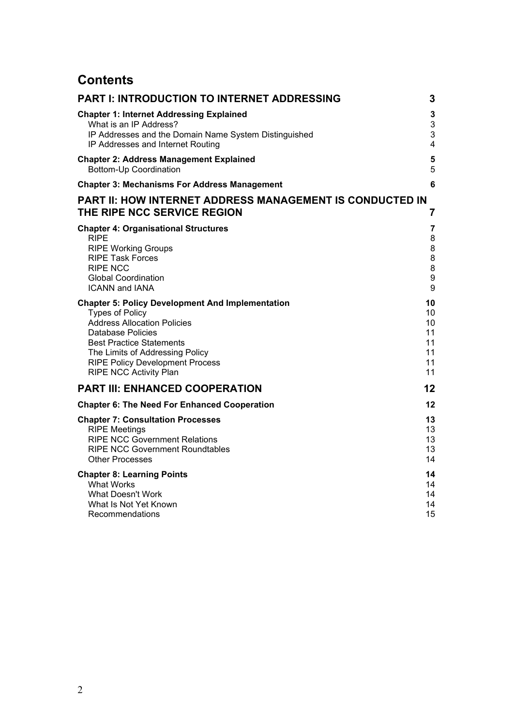# **Contents**

| PART I: INTRODUCTION TO INTERNET ADDRESSING                                             | 3                       |
|-----------------------------------------------------------------------------------------|-------------------------|
| <b>Chapter 1: Internet Addressing Explained</b>                                         | 3                       |
| What is an IP Address?                                                                  | 3                       |
| IP Addresses and the Domain Name System Distinguished                                   | 3                       |
| IP Addresses and Internet Routing                                                       | $\overline{\mathbf{4}}$ |
| <b>Chapter 2: Address Management Explained</b>                                          | 5                       |
| Bottom-Up Coordination                                                                  | 5                       |
| <b>Chapter 3: Mechanisms For Address Management</b>                                     | 6                       |
| PART II: HOW INTERNET ADDRESS MANAGEMENT IS CONDUCTED IN<br>THE RIPE NCC SERVICE REGION | 7                       |
| <b>Chapter 4: Organisational Structures</b>                                             | $\overline{\mathbf{7}}$ |
| RIPE                                                                                    | 8                       |
| <b>RIPE Working Groups</b>                                                              | 8                       |
| <b>RIPE Task Forces</b>                                                                 | 8                       |
| <b>RIPE NCC</b>                                                                         | 8                       |
| <b>Global Coordination</b>                                                              | 9                       |
| <b>ICANN and IANA</b>                                                                   | 9                       |
| <b>Chapter 5: Policy Development And Implementation</b>                                 | 10                      |
| <b>Types of Policy</b>                                                                  | 10                      |
| <b>Address Allocation Policies</b>                                                      | 10                      |
| <b>Database Policies</b>                                                                | 11                      |
| <b>Best Practice Statements</b>                                                         | 11                      |
| The Limits of Addressing Policy                                                         | 11                      |
| <b>RIPE Policy Development Process</b>                                                  | 11                      |
| <b>RIPE NCC Activity Plan</b>                                                           | 11                      |
| <b>PART III: ENHANCED COOPERATION</b>                                                   | 12                      |
| <b>Chapter 6: The Need For Enhanced Cooperation</b>                                     | 12                      |
| <b>Chapter 7: Consultation Processes</b>                                                | 13                      |
| <b>RIPE Meetings</b>                                                                    | 13                      |
| <b>RIPE NCC Government Relations</b>                                                    | 13                      |
| <b>RIPE NCC Government Roundtables</b>                                                  | 13                      |
| <b>Other Processes</b>                                                                  | 14                      |
| <b>Chapter 8: Learning Points</b>                                                       | 14                      |
| <b>What Works</b>                                                                       | 14                      |
| <b>What Doesn't Work</b>                                                                | 14                      |
| What Is Not Yet Known                                                                   | 14                      |
| Recommendations                                                                         | 15                      |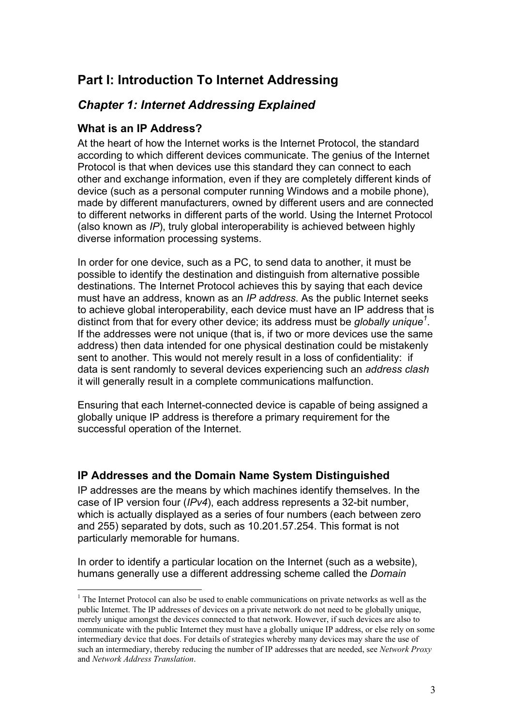# **Part I: Introduction To Internet Addressing**

## *Chapter 1: Internet Addressing Explained*

#### **What is an IP Address?**

At the heart of how the Internet works is the Internet Protocol, the standard according to which different devices communicate. The genius of the Internet Protocol is that when devices use this standard they can connect to each other and exchange information, even if they are completely different kinds of device (such as a personal computer running Windows and a mobile phone), made by different manufacturers, owned by different users and are connected to different networks in different parts of the world. Using the Internet Protocol (also known as *IP*), truly global interoperability is achieved between highly diverse information processing systems.

In order for one device, such as a PC, to send data to another, it must be possible to identify the destination and distinguish from alternative possible destinations. The Internet Protocol achieves this by saying that each device must have an address, known as an *IP address*. As the public Internet seeks to achieve global interoperability, each device must have an IP address that is distinct from that for every other device; its address must be *globally unique<sup>1</sup>* . If the addresses were not unique (that is, if two or more devices use the same address) then data intended for one physical destination could be mistakenly sent to another. This would not merely result in a loss of confidentiality: if data is sent randomly to several devices experiencing such an *address clash* it will generally result in a complete communications malfunction.

Ensuring that each Internet-connected device is capable of being assigned a globally unique IP address is therefore a primary requirement for the successful operation of the Internet.

#### **IP Addresses and the Domain Name System Distinguished**

IP addresses are the means by which machines identify themselves. In the case of IP version four (*IPv4*), each address represents a 32-bit number, which is actually displayed as a series of four numbers (each between zero and 255) separated by dots, such as 10.201.57.254. This format is not particularly memorable for humans.

In order to identify a particular location on the Internet (such as a website), humans generally use a different addressing scheme called the *Domain* 

 $\frac{1}{1}$ <sup>1</sup> The Internet Protocol can also be used to enable communications on private networks as well as the public Internet. The IP addresses of devices on a private network do not need to be globally unique, merely unique amongst the devices connected to that network. However, if such devices are also to communicate with the public Internet they must have a globally unique IP address, or else rely on some intermediary device that does. For details of strategies whereby many devices may share the use of such an intermediary, thereby reducing the number of IP addresses that are needed, see *Network Proxy*  and *Network Address Translation*.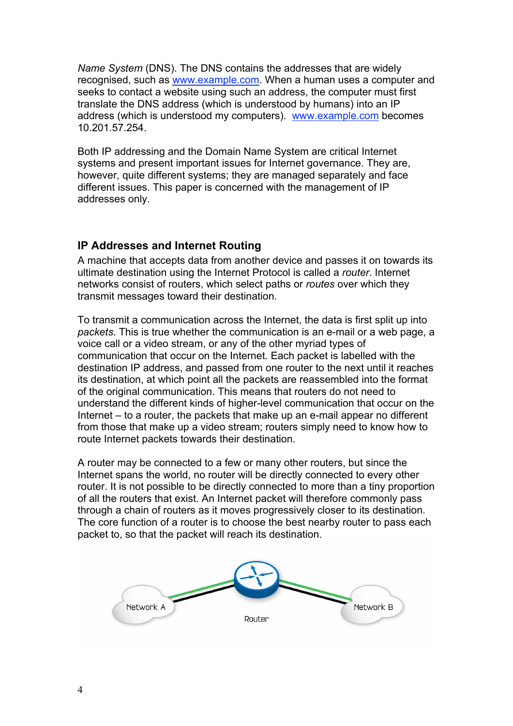*Name System* (DNS). The DNS contains the addresses that are widely recognised, such as www.example.com. When a human uses a computer and seeks to contact a website using such an address, the computer must first translate the DNS address (which is understood by humans) into an IP address (which is understood my computers). www.example.com becomes 10.201.57.254.

Both IP addressing and the Domain Name System are critical Internet systems and present important issues for Internet governance. They are, however, quite different systems; they are managed separately and face different issues. This paper is concerned with the management of IP addresses only.

## **IP Addresses and Internet Routing**

A machine that accepts data from another device and passes it on towards its ultimate destination using the Internet Protocol is called a *router*. Internet networks consist of routers, which select paths or *routes* over which they transmit messages toward their destination.

To transmit a communication across the Internet, the data is first split up into *packets*. This is true whether the communication is an e-mail or a web page, a voice call or a video stream, or any of the other myriad types of communication that occur on the Internet. Each packet is labelled with the destination IP address, and passed from one router to the next until it reaches its destination, at which point all the packets are reassembled into the format of the original communication. This means that routers do not need to understand the different kinds of higher-level communication that occur on the Internet – to a router, the packets that make up an e-mail appear no different from those that make up a video stream; routers simply need to know how to route Internet packets towards their destination.

A router may be connected to a few or many other routers, but since the Internet spans the world, no router will be directly connected to every other router. It is not possible to be directly connected to more than a tiny proportion of all the routers that exist. An Internet packet will therefore commonly pass through a chain of routers as it moves progressively closer to its destination. The core function of a router is to choose the best nearby router to pass each packet to, so that the packet will reach its destination.

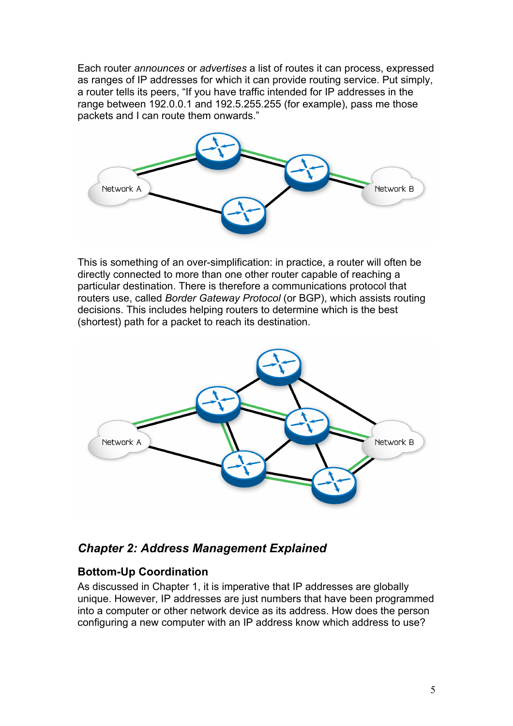Each router *announces* or *advertises* a list of routes it can process, expressed as ranges of IP addresses for which it can provide routing service. Put simply, a router tells its peers, "If you have traffic intended for IP addresses in the range between 192.0.0.1 and 192.5.255.255 (for example), pass me those packets and I can route them onwards."



This is something of an over-simplification: in practice, a router will often be directly connected to more than one other router capable of reaching a particular destination. There is therefore a communications protocol that routers use, called *Border Gateway Protocol* (or BGP), which assists routing decisions. This includes helping routers to determine which is the best (shortest) path for a packet to reach its destination.



## *Chapter 2: Address Management Explained*

## **Bottom-Up Coordination**

As discussed in Chapter 1, it is imperative that IP addresses are globally unique. However, IP addresses are just numbers that have been programmed into a computer or other network device as its address. How does the person configuring a new computer with an IP address know which address to use?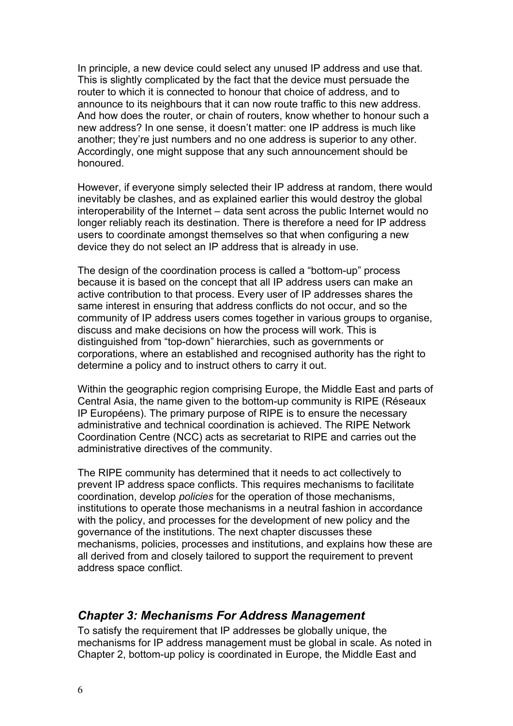In principle, a new device could select any unused IP address and use that. This is slightly complicated by the fact that the device must persuade the router to which it is connected to honour that choice of address, and to announce to its neighbours that it can now route traffic to this new address. And how does the router, or chain of routers, know whether to honour such a new address? In one sense, it doesn't matter: one IP address is much like another; they're just numbers and no one address is superior to any other. Accordingly, one might suppose that any such announcement should be honoured.

However, if everyone simply selected their IP address at random, there would inevitably be clashes, and as explained earlier this would destroy the global interoperability of the Internet – data sent across the public Internet would no longer reliably reach its destination. There is therefore a need for IP address users to coordinate amongst themselves so that when configuring a new device they do not select an IP address that is already in use.

The design of the coordination process is called a "bottom-up" process because it is based on the concept that all IP address users can make an active contribution to that process. Every user of IP addresses shares the same interest in ensuring that address conflicts do not occur, and so the community of IP address users comes together in various groups to organise, discuss and make decisions on how the process will work. This is distinguished from "top-down" hierarchies, such as governments or corporations, where an established and recognised authority has the right to determine a policy and to instruct others to carry it out.

Within the geographic region comprising Europe, the Middle East and parts of Central Asia, the name given to the bottom-up community is RIPE (Réseaux IP Européens). The primary purpose of RIPE is to ensure the necessary administrative and technical coordination is achieved. The RIPE Network Coordination Centre (NCC) acts as secretariat to RIPE and carries out the administrative directives of the community.

The RIPE community has determined that it needs to act collectively to prevent IP address space conflicts. This requires mechanisms to facilitate coordination, develop *policies* for the operation of those mechanisms, institutions to operate those mechanisms in a neutral fashion in accordance with the policy, and processes for the development of new policy and the governance of the institutions. The next chapter discusses these mechanisms, policies, processes and institutions, and explains how these are all derived from and closely tailored to support the requirement to prevent address space conflict.

## *Chapter 3: Mechanisms For Address Management*

To satisfy the requirement that IP addresses be globally unique, the mechanisms for IP address management must be global in scale. As noted in Chapter 2, bottom-up policy is coordinated in Europe, the Middle East and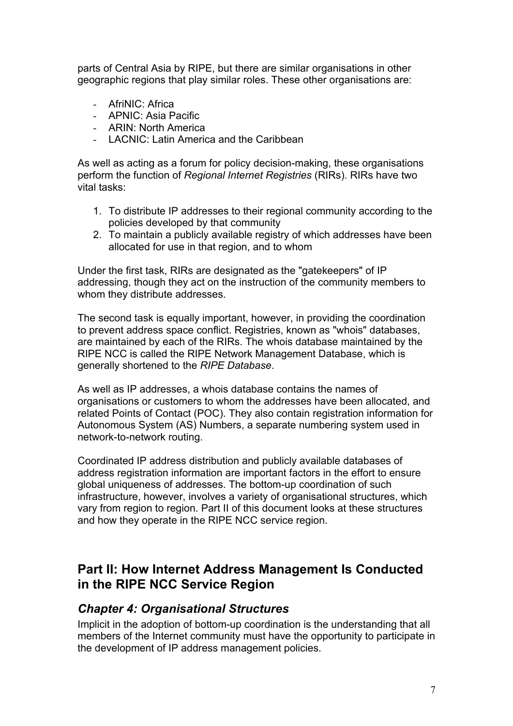parts of Central Asia by RIPE, but there are similar organisations in other geographic regions that play similar roles. These other organisations are:

- AfriNIC: Africa
- APNIC: Asia Pacific
- ARIN: North America
- LACNIC: Latin America and the Caribbean

As well as acting as a forum for policy decision-making, these organisations perform the function of *Regional Internet Registries* (RIRs). RIRs have two vital tasks:

- 1. To distribute IP addresses to their regional community according to the policies developed by that community
- 2. To maintain a publicly available registry of which addresses have been allocated for use in that region, and to whom

Under the first task, RIRs are designated as the "gatekeepers" of IP addressing, though they act on the instruction of the community members to whom they distribute addresses.

The second task is equally important, however, in providing the coordination to prevent address space conflict. Registries, known as "whois" databases, are maintained by each of the RIRs. The whois database maintained by the RIPE NCC is called the RIPE Network Management Database, which is generally shortened to the *RIPE Database*.

As well as IP addresses, a whois database contains the names of organisations or customers to whom the addresses have been allocated, and related Points of Contact (POC). They also contain registration information for Autonomous System (AS) Numbers, a separate numbering system used in network-to-network routing.

Coordinated IP address distribution and publicly available databases of address registration information are important factors in the effort to ensure global uniqueness of addresses. The bottom-up coordination of such infrastructure, however, involves a variety of organisational structures, which vary from region to region. Part II of this document looks at these structures and how they operate in the RIPE NCC service region.

## **Part II: How Internet Address Management Is Conducted in the RIPE NCC Service Region**

## *Chapter 4: Organisational Structures*

Implicit in the adoption of bottom-up coordination is the understanding that all members of the Internet community must have the opportunity to participate in the development of IP address management policies.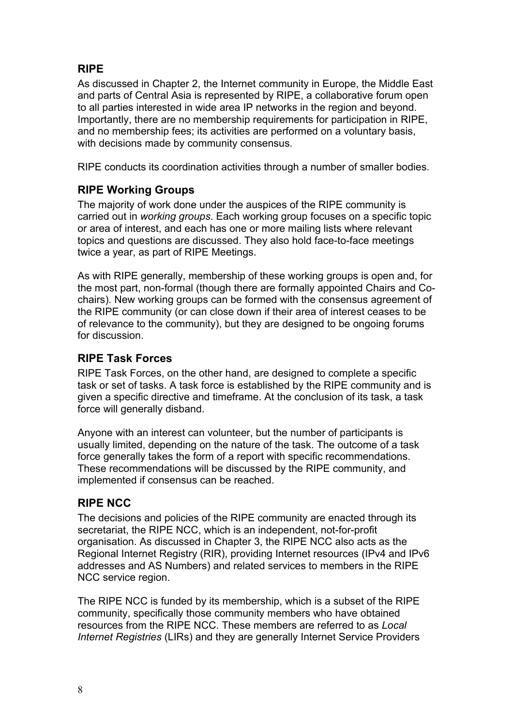## **RIPE**

As discussed in Chapter 2, the Internet community in Europe, the Middle East and parts of Central Asia is represented by RIPE, a collaborative forum open to all parties interested in wide area IP networks in the region and beyond. Importantly, there are no membership requirements for participation in RIPE, and no membership fees; its activities are performed on a voluntary basis, with decisions made by community consensus.

RIPE conducts its coordination activities through a number of smaller bodies.

## **RIPE Working Groups**

The majority of work done under the auspices of the RIPE community is carried out in *working groups*. Each working group focuses on a specific topic or area of interest, and each has one or more mailing lists where relevant topics and questions are discussed. They also hold face-to-face meetings twice a year, as part of RIPE Meetings.

As with RIPE generally, membership of these working groups is open and, for the most part, non-formal (though there are formally appointed Chairs and Cochairs). New working groups can be formed with the consensus agreement of the RIPE community (or can close down if their area of interest ceases to be of relevance to the community), but they are designed to be ongoing forums for discussion.

## **RIPE Task Forces**

RIPE Task Forces, on the other hand, are designed to complete a specific task or set of tasks. A task force is established by the RIPE community and is given a specific directive and timeframe. At the conclusion of its task, a task force will generally disband.

Anyone with an interest can volunteer, but the number of participants is usually limited, depending on the nature of the task. The outcome of a task force generally takes the form of a report with specific recommendations. These recommendations will be discussed by the RIPE community, and implemented if consensus can be reached.

## **RIPE NCC**

The decisions and policies of the RIPE community are enacted through its secretariat, the RIPE NCC, which is an independent, not-for-profit organisation. As discussed in Chapter 3, the RIPE NCC also acts as the Regional Internet Registry (RIR), providing Internet resources (IPv4 and IPv6 addresses and AS Numbers) and related services to members in the RIPE NCC service region.

The RIPE NCC is funded by its membership, which is a subset of the RIPE community, specifically those community members who have obtained resources from the RIPE NCC. These members are referred to as *Local Internet Registries* (LIRs) and they are generally Internet Service Providers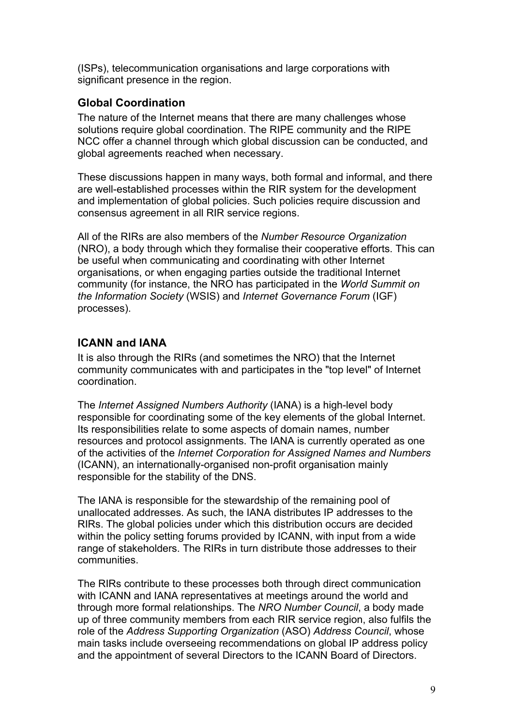(ISPs), telecommunication organisations and large corporations with significant presence in the region.

## **Global Coordination**

The nature of the Internet means that there are many challenges whose solutions require global coordination. The RIPE community and the RIPE NCC offer a channel through which global discussion can be conducted, and global agreements reached when necessary.

These discussions happen in many ways, both formal and informal, and there are well-established processes within the RIR system for the development and implementation of global policies. Such policies require discussion and consensus agreement in all RIR service regions.

All of the RIRs are also members of the *Number Resource Organization* (NRO), a body through which they formalise their cooperative efforts. This can be useful when communicating and coordinating with other Internet organisations, or when engaging parties outside the traditional Internet community (for instance, the NRO has participated in the *World Summit on the Information Society* (WSIS) and *Internet Governance Forum* (IGF) processes).

## **ICANN and IANA**

It is also through the RIRs (and sometimes the NRO) that the Internet community communicates with and participates in the "top level" of Internet coordination.

The *Internet Assigned Numbers Authority* (IANA) is a high-level body responsible for coordinating some of the key elements of the global Internet. Its responsibilities relate to some aspects of domain names, number resources and protocol assignments. The IANA is currently operated as one of the activities of the *Internet Corporation for Assigned Names and Numbers* (ICANN), an internationally-organised non-profit organisation mainly responsible for the stability of the DNS.

The IANA is responsible for the stewardship of the remaining pool of unallocated addresses. As such, the IANA distributes IP addresses to the RIRs. The global policies under which this distribution occurs are decided within the policy setting forums provided by ICANN, with input from a wide range of stakeholders. The RIRs in turn distribute those addresses to their communities.

The RIRs contribute to these processes both through direct communication with ICANN and IANA representatives at meetings around the world and through more formal relationships. The *NRO Number Council*, a body made up of three community members from each RIR service region, also fulfils the role of the *Address Supporting Organization* (ASO) *Address Council*, whose main tasks include overseeing recommendations on global IP address policy and the appointment of several Directors to the ICANN Board of Directors.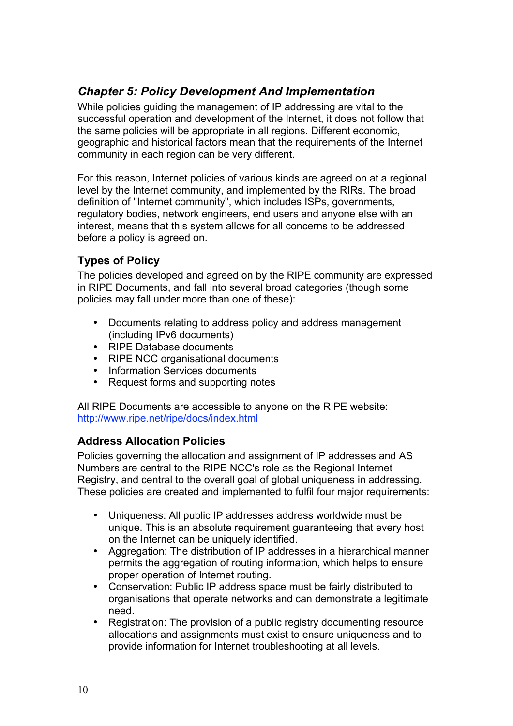## *Chapter 5: Policy Development And Implementation*

While policies guiding the management of IP addressing are vital to the successful operation and development of the Internet, it does not follow that the same policies will be appropriate in all regions. Different economic, geographic and historical factors mean that the requirements of the Internet community in each region can be very different.

For this reason, Internet policies of various kinds are agreed on at a regional level by the Internet community, and implemented by the RIRs. The broad definition of "Internet community", which includes ISPs, governments, regulatory bodies, network engineers, end users and anyone else with an interest, means that this system allows for all concerns to be addressed before a policy is agreed on.

## **Types of Policy**

The policies developed and agreed on by the RIPE community are expressed in RIPE Documents, and fall into several broad categories (though some policies may fall under more than one of these):

- Documents relating to address policy and address management (including IPv6 documents)
- RIPE Database documents
- RIPE NCC organisational documents
- Information Services documents<br>• Request forms and supporting no
- Request forms and supporting notes

All RIPE Documents are accessible to anyone on the RIPE website: http://www.ripe.net/ripe/docs/index.html

## **Address Allocation Policies**

Policies governing the allocation and assignment of IP addresses and AS Numbers are central to the RIPE NCC's role as the Regional Internet Registry, and central to the overall goal of global uniqueness in addressing. These policies are created and implemented to fulfil four major requirements:

- Uniqueness: All public IP addresses address worldwide must be unique. This is an absolute requirement guaranteeing that every host on the Internet can be uniquely identified.
- Aggregation: The distribution of IP addresses in a hierarchical manner permits the aggregation of routing information, which helps to ensure proper operation of Internet routing.
- Conservation: Public IP address space must be fairly distributed to organisations that operate networks and can demonstrate a legitimate need.
- Registration: The provision of a public registry documenting resource allocations and assignments must exist to ensure uniqueness and to provide information for Internet troubleshooting at all levels.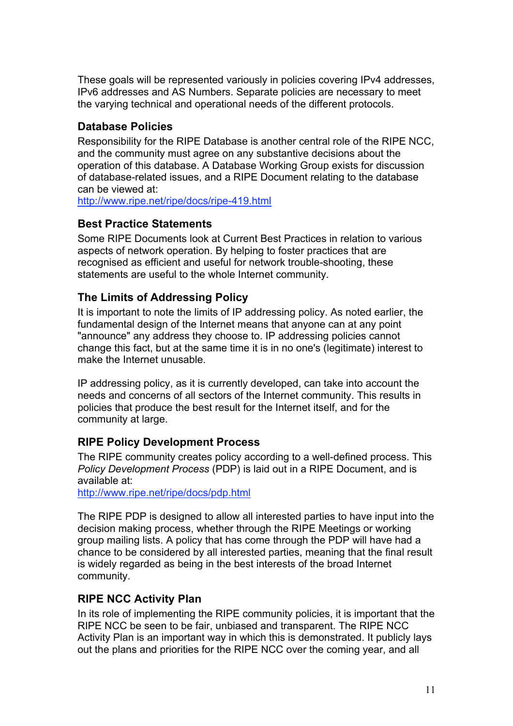These goals will be represented variously in policies covering IPv4 addresses, IPv6 addresses and AS Numbers. Separate policies are necessary to meet the varying technical and operational needs of the different protocols.

### **Database Policies**

Responsibility for the RIPE Database is another central role of the RIPE NCC, and the community must agree on any substantive decisions about the operation of this database. A Database Working Group exists for discussion of database-related issues, and a RIPE Document relating to the database can be viewed at:

http://www.ripe.net/ripe/docs/ripe-419.html

#### **Best Practice Statements**

Some RIPE Documents look at Current Best Practices in relation to various aspects of network operation. By helping to foster practices that are recognised as efficient and useful for network trouble-shooting, these statements are useful to the whole Internet community.

## **The Limits of Addressing Policy**

It is important to note the limits of IP addressing policy. As noted earlier, the fundamental design of the Internet means that anyone can at any point "announce" any address they choose to. IP addressing policies cannot change this fact, but at the same time it is in no one's (legitimate) interest to make the Internet unusable.

IP addressing policy, as it is currently developed, can take into account the needs and concerns of all sectors of the Internet community. This results in policies that produce the best result for the Internet itself, and for the community at large.

## **RIPE Policy Development Process**

The RIPE community creates policy according to a well-defined process. This *Policy Development Process* (PDP) is laid out in a RIPE Document, and is available at:

http://www.ripe.net/ripe/docs/pdp.html

The RIPE PDP is designed to allow all interested parties to have input into the decision making process, whether through the RIPE Meetings or working group mailing lists. A policy that has come through the PDP will have had a chance to be considered by all interested parties, meaning that the final result is widely regarded as being in the best interests of the broad Internet community.

## **RIPE NCC Activity Plan**

In its role of implementing the RIPE community policies, it is important that the RIPE NCC be seen to be fair, unbiased and transparent. The RIPE NCC Activity Plan is an important way in which this is demonstrated. It publicly lays out the plans and priorities for the RIPE NCC over the coming year, and all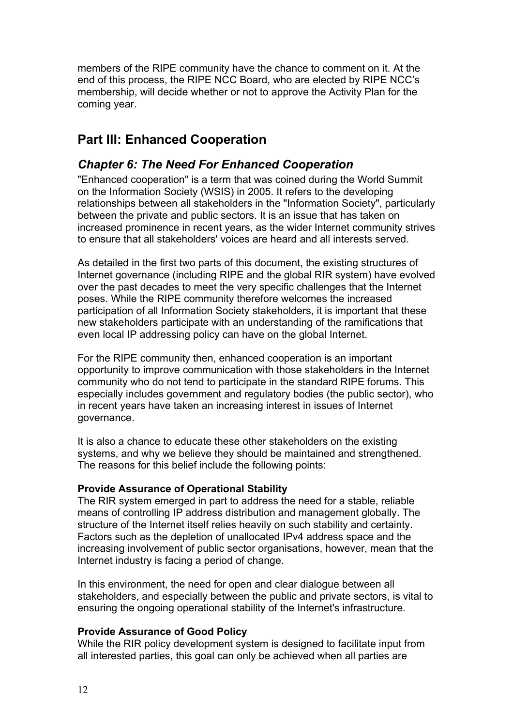members of the RIPE community have the chance to comment on it. At the end of this process, the RIPE NCC Board, who are elected by RIPE NCC's membership, will decide whether or not to approve the Activity Plan for the coming year.

# **Part III: Enhanced Cooperation**

## *Chapter 6: The Need For Enhanced Cooperation*

"Enhanced cooperation" is a term that was coined during the World Summit on the Information Society (WSIS) in 2005. It refers to the developing relationships between all stakeholders in the "Information Society", particularly between the private and public sectors. It is an issue that has taken on increased prominence in recent years, as the wider Internet community strives to ensure that all stakeholders' voices are heard and all interests served.

As detailed in the first two parts of this document, the existing structures of Internet governance (including RIPE and the global RIR system) have evolved over the past decades to meet the very specific challenges that the Internet poses. While the RIPE community therefore welcomes the increased participation of all Information Society stakeholders, it is important that these new stakeholders participate with an understanding of the ramifications that even local IP addressing policy can have on the global Internet.

For the RIPE community then, enhanced cooperation is an important opportunity to improve communication with those stakeholders in the Internet community who do not tend to participate in the standard RIPE forums. This especially includes government and regulatory bodies (the public sector), who in recent years have taken an increasing interest in issues of Internet governance.

It is also a chance to educate these other stakeholders on the existing systems, and why we believe they should be maintained and strengthened. The reasons for this belief include the following points:

#### **Provide Assurance of Operational Stability**

The RIR system emerged in part to address the need for a stable, reliable means of controlling IP address distribution and management globally. The structure of the Internet itself relies heavily on such stability and certainty. Factors such as the depletion of unallocated IPv4 address space and the increasing involvement of public sector organisations, however, mean that the Internet industry is facing a period of change.

In this environment, the need for open and clear dialogue between all stakeholders, and especially between the public and private sectors, is vital to ensuring the ongoing operational stability of the Internet's infrastructure.

#### **Provide Assurance of Good Policy**

While the RIR policy development system is designed to facilitate input from all interested parties, this goal can only be achieved when all parties are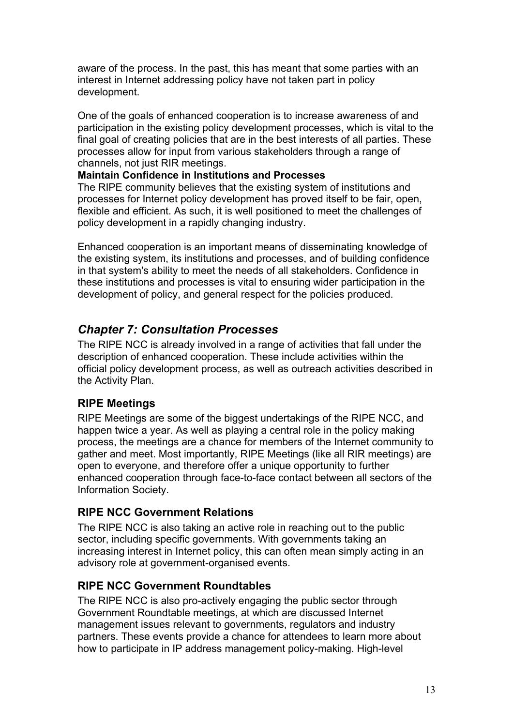aware of the process. In the past, this has meant that some parties with an interest in Internet addressing policy have not taken part in policy development.

One of the goals of enhanced cooperation is to increase awareness of and participation in the existing policy development processes, which is vital to the final goal of creating policies that are in the best interests of all parties. These processes allow for input from various stakeholders through a range of channels, not just RIR meetings.

#### **Maintain Confidence in Institutions and Processes**

The RIPE community believes that the existing system of institutions and processes for Internet policy development has proved itself to be fair, open, flexible and efficient. As such, it is well positioned to meet the challenges of policy development in a rapidly changing industry.

Enhanced cooperation is an important means of disseminating knowledge of the existing system, its institutions and processes, and of building confidence in that system's ability to meet the needs of all stakeholders. Confidence in these institutions and processes is vital to ensuring wider participation in the development of policy, and general respect for the policies produced.

## *Chapter 7: Consultation Processes*

The RIPE NCC is already involved in a range of activities that fall under the description of enhanced cooperation. These include activities within the official policy development process, as well as outreach activities described in the Activity Plan.

## **RIPE Meetings**

RIPE Meetings are some of the biggest undertakings of the RIPE NCC, and happen twice a year. As well as playing a central role in the policy making process, the meetings are a chance for members of the Internet community to gather and meet. Most importantly, RIPE Meetings (like all RIR meetings) are open to everyone, and therefore offer a unique opportunity to further enhanced cooperation through face-to-face contact between all sectors of the Information Society.

## **RIPE NCC Government Relations**

The RIPE NCC is also taking an active role in reaching out to the public sector, including specific governments. With governments taking an increasing interest in Internet policy, this can often mean simply acting in an advisory role at government-organised events.

## **RIPE NCC Government Roundtables**

The RIPE NCC is also pro-actively engaging the public sector through Government Roundtable meetings, at which are discussed Internet management issues relevant to governments, regulators and industry partners. These events provide a chance for attendees to learn more about how to participate in IP address management policy-making. High-level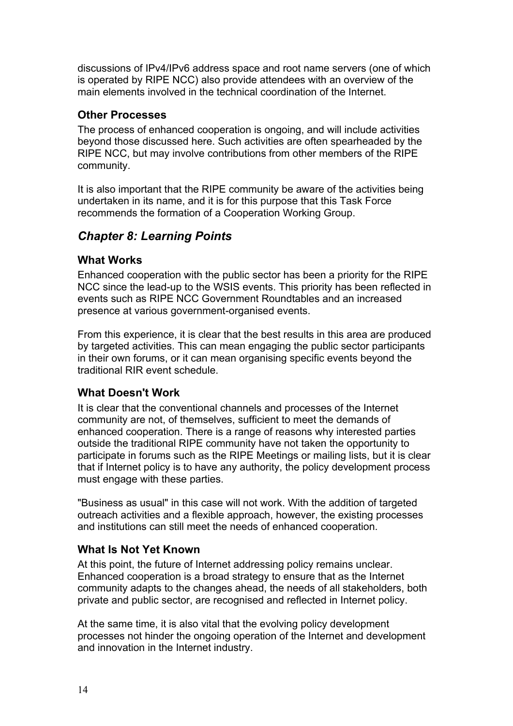discussions of IPv4/IPv6 address space and root name servers (one of which is operated by RIPE NCC) also provide attendees with an overview of the main elements involved in the technical coordination of the Internet.

### **Other Processes**

The process of enhanced cooperation is ongoing, and will include activities beyond those discussed here. Such activities are often spearheaded by the RIPE NCC, but may involve contributions from other members of the RIPE community.

It is also important that the RIPE community be aware of the activities being undertaken in its name, and it is for this purpose that this Task Force recommends the formation of a Cooperation Working Group.

## *Chapter 8: Learning Points*

#### **What Works**

Enhanced cooperation with the public sector has been a priority for the RIPE NCC since the lead-up to the WSIS events. This priority has been reflected in events such as RIPE NCC Government Roundtables and an increased presence at various government-organised events.

From this experience, it is clear that the best results in this area are produced by targeted activities. This can mean engaging the public sector participants in their own forums, or it can mean organising specific events beyond the traditional RIR event schedule.

## **What Doesn't Work**

It is clear that the conventional channels and processes of the Internet community are not, of themselves, sufficient to meet the demands of enhanced cooperation. There is a range of reasons why interested parties outside the traditional RIPE community have not taken the opportunity to participate in forums such as the RIPE Meetings or mailing lists, but it is clear that if Internet policy is to have any authority, the policy development process must engage with these parties.

"Business as usual" in this case will not work. With the addition of targeted outreach activities and a flexible approach, however, the existing processes and institutions can still meet the needs of enhanced cooperation.

## **What Is Not Yet Known**

At this point, the future of Internet addressing policy remains unclear. Enhanced cooperation is a broad strategy to ensure that as the Internet community adapts to the changes ahead, the needs of all stakeholders, both private and public sector, are recognised and reflected in Internet policy.

At the same time, it is also vital that the evolving policy development processes not hinder the ongoing operation of the Internet and development and innovation in the Internet industry.